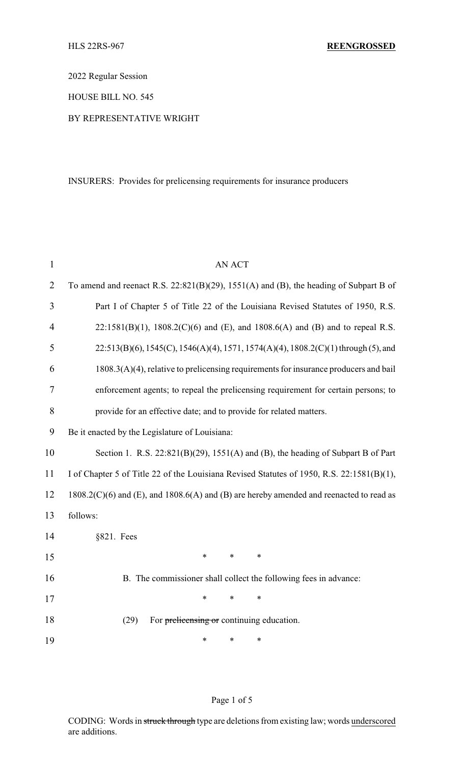2022 Regular Session

HOUSE BILL NO. 545

### BY REPRESENTATIVE WRIGHT

INSURERS: Provides for prelicensing requirements for insurance producers

| $\mathbf{1}$   | AN ACT                                                                                              |  |  |  |
|----------------|-----------------------------------------------------------------------------------------------------|--|--|--|
| $\overline{2}$ | To amend and reenact R.S. $22:821(B)(29)$ , $1551(A)$ and (B), the heading of Subpart B of          |  |  |  |
| 3              | Part I of Chapter 5 of Title 22 of the Louisiana Revised Statutes of 1950, R.S.                     |  |  |  |
| 4              | $22:1581(B)(1)$ , $1808.2(C)(6)$ and (E), and $1808.6(A)$ and (B) and to repeal R.S.                |  |  |  |
| 5              | $22:513(B)(6)$ , $1545(C)$ , $1546(A)(4)$ , $1571$ , $1574(A)(4)$ , $1808.2(C)(1)$ through (5), and |  |  |  |
| 6              | $1808.3(A)(4)$ , relative to prelicensing requirements for insurance producers and bail             |  |  |  |
| 7              | enforcement agents; to repeal the prelicensing requirement for certain persons; to                  |  |  |  |
| 8              | provide for an effective date; and to provide for related matters.                                  |  |  |  |
| 9              | Be it enacted by the Legislature of Louisiana:                                                      |  |  |  |
| 10             | Section 1. R.S. 22:821(B)(29), 1551(A) and (B), the heading of Subpart B of Part                    |  |  |  |
| 11             | I of Chapter 5 of Title 22 of the Louisiana Revised Statutes of 1950, R.S. 22:1581(B)(1),           |  |  |  |
| 12             | $1808.2(C)(6)$ and (E), and $1808.6(A)$ and (B) are hereby amended and reenacted to read as         |  |  |  |
| 13             | follows:                                                                                            |  |  |  |
| 14             | §821. Fees                                                                                          |  |  |  |
| 15             | $\ast$<br>$\ast$<br>$\ast$                                                                          |  |  |  |
| 16             | B. The commissioner shall collect the following fees in advance:                                    |  |  |  |
| 17             | $\ast$<br>$\ast$<br>$\ast$                                                                          |  |  |  |
| 18             | (29)<br>For prelicensing or continuing education.                                                   |  |  |  |
| 19             | $\ast$<br>$\ast$<br>∗                                                                               |  |  |  |

### Page 1 of 5

CODING: Words in struck through type are deletions from existing law; words underscored are additions.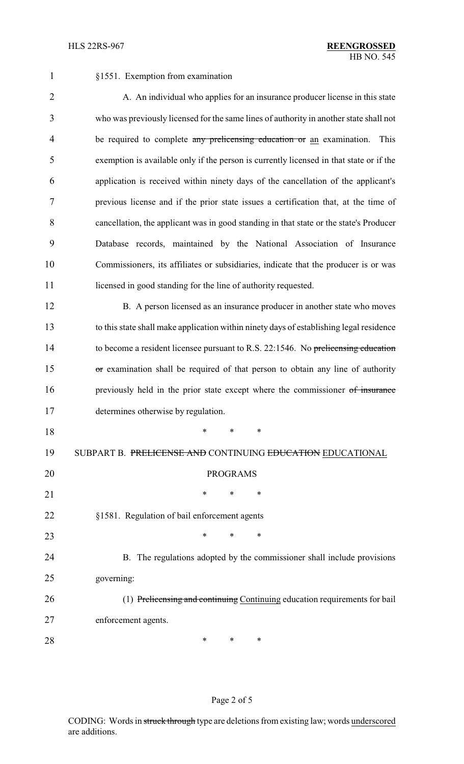| $\mathbf{1}$   | §1551. Exemption from examination                                                       |  |  |  |
|----------------|-----------------------------------------------------------------------------------------|--|--|--|
| $\overline{2}$ | A. An individual who applies for an insurance producer license in this state            |  |  |  |
| 3              | who was previously licensed for the same lines of authority in another state shall not  |  |  |  |
| 4              | be required to complete any prelicensing education or an examination.<br>This           |  |  |  |
| 5              | exemption is available only if the person is currently licensed in that state or if the |  |  |  |
| 6              | application is received within ninety days of the cancellation of the applicant's       |  |  |  |
| $\tau$         | previous license and if the prior state issues a certification that, at the time of     |  |  |  |
| 8              | cancellation, the applicant was in good standing in that state or the state's Producer  |  |  |  |
| 9              | Database records, maintained by the National Association of Insurance                   |  |  |  |
| 10             | Commissioners, its affiliates or subsidiaries, indicate that the producer is or was     |  |  |  |
| 11             | licensed in good standing for the line of authority requested.                          |  |  |  |
| 12             | B. A person licensed as an insurance producer in another state who moves                |  |  |  |
| 13             | to this state shall make application within ninety days of establishing legal residence |  |  |  |
| 14             | to become a resident licensee pursuant to R.S. 22:1546. No prelicensing education       |  |  |  |
| 15             | or examination shall be required of that person to obtain any line of authority         |  |  |  |
| 16             | previously held in the prior state except where the commissioner of insurance           |  |  |  |
| 17             | determines otherwise by regulation.                                                     |  |  |  |
| 18             | $\ast$<br>*<br>∗                                                                        |  |  |  |
| 19             | SUBPART B. PRELICENSE AND CONTINUING EDUCATION EDUCATIONAL                              |  |  |  |
| 20             | <b>PROGRAMS</b>                                                                         |  |  |  |
| 21             | ∗<br>∗<br>∗                                                                             |  |  |  |
| 22             | §1581. Regulation of bail enforcement agents                                            |  |  |  |
| 23             | $\ast$<br>∗<br>*                                                                        |  |  |  |
| 24             | B. The regulations adopted by the commissioner shall include provisions                 |  |  |  |
| 25             | governing:                                                                              |  |  |  |
| 26             | (1) Prelicensing and continuing Continuing education requirements for bail              |  |  |  |
| 27             | enforcement agents.                                                                     |  |  |  |
| 28             | ∗<br>∗<br>*                                                                             |  |  |  |
|                |                                                                                         |  |  |  |

# Page 2 of 5

CODING: Words in struck through type are deletions from existing law; words underscored are additions.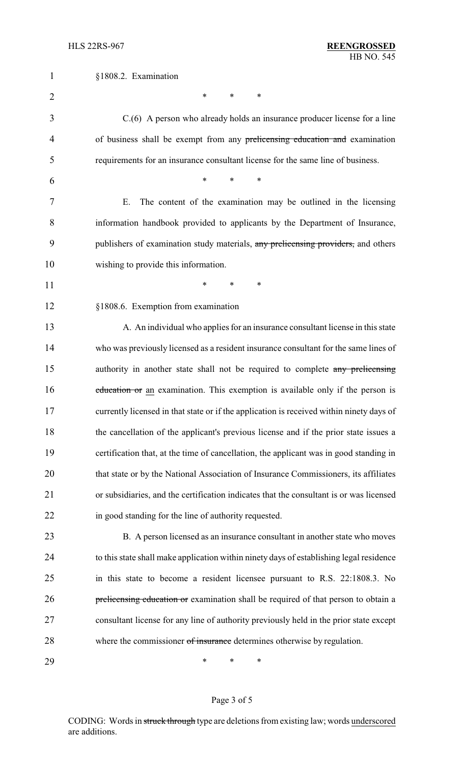| $\mathbf{1}$   | §1808.2. Examination                                                                     |
|----------------|------------------------------------------------------------------------------------------|
| $\overline{2}$ | ∗<br>∗<br>∗                                                                              |
| 3              | C.(6) A person who already holds an insurance producer license for a line                |
| 4              | of business shall be exempt from any prelicensing education and examination              |
| 5              | requirements for an insurance consultant license for the same line of business.          |
| 6              | *<br>$\ast$<br>*                                                                         |
| 7              | The content of the examination may be outlined in the licensing<br>Ε.                    |
| 8              | information handbook provided to applicants by the Department of Insurance,              |
| 9              | publishers of examination study materials, any prelicensing providers, and others        |
| 10             | wishing to provide this information.                                                     |
| 11             | *<br>$\ast$<br>*                                                                         |
| 12             | §1808.6. Exemption from examination                                                      |
| 13             | A. An individual who applies for an insurance consultant license in this state           |
| 14             | who was previously licensed as a resident insurance consultant for the same lines of     |
| 15             | authority in another state shall not be required to complete any prelicensing            |
| 16             | education or an examination. This exemption is available only if the person is           |
| 17             | currently licensed in that state or if the application is received within ninety days of |
| 18             | the cancellation of the applicant's previous license and if the prior state issues a     |
| 19             | certification that, at the time of cancellation, the applicant was in good standing in   |
| 20             | that state or by the National Association of Insurance Commissioners, its affiliates     |
| 21             | or subsidiaries, and the certification indicates that the consultant is or was licensed  |
| 22             | in good standing for the line of authority requested.                                    |
| 23             | B. A person licensed as an insurance consultant in another state who moves               |
| 24             | to this state shall make application within ninety days of establishing legal residence  |
| 25             | in this state to become a resident licensee pursuant to R.S. 22:1808.3. No               |
| 26             | prelicensing education or examination shall be required of that person to obtain a       |
| 27             | consultant license for any line of authority previously held in the prior state except   |
| 28             | where the commissioner of insurance determines otherwise by regulation.                  |
| 29             | ∗<br>*<br>∗                                                                              |

# Page 3 of 5

CODING: Words in struck through type are deletions from existing law; words underscored are additions.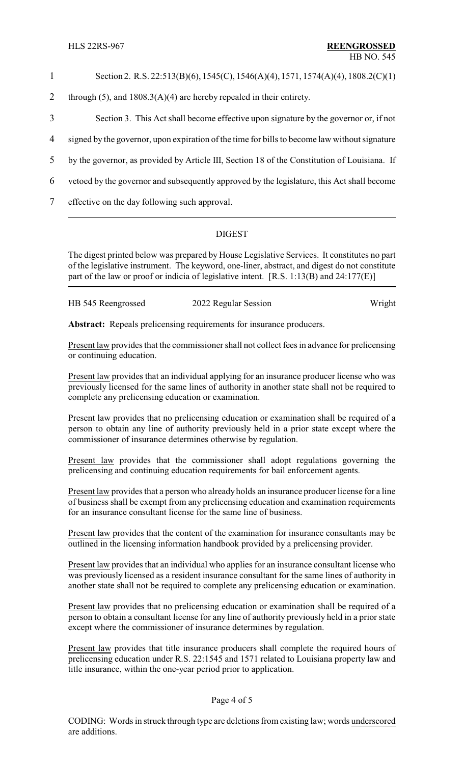### 1 Section 2. R.S. 22:513(B)(6), 1545(C), 1546(A)(4), 1571, 1574(A)(4), 1808.2(C)(1)

- 2 through (5), and  $1808.3(A)(4)$  are hereby repealed in their entirety.
- 3 Section 3. This Act shall become effective upon signature by the governor or, if not
- 4 signed by the governor, upon expiration of the time for bills to become law without signature
- 5 by the governor, as provided by Article III, Section 18 of the Constitution of Louisiana. If
- 6 vetoed by the governor and subsequently approved by the legislature, this Act shall become
- 7 effective on the day following such approval.

### DIGEST

The digest printed below was prepared by House Legislative Services. It constitutes no part of the legislative instrument. The keyword, one-liner, abstract, and digest do not constitute part of the law or proof or indicia of legislative intent. [R.S. 1:13(B) and 24:177(E)]

| HB 545 Reengrossed | 2022 Regular Session | Wright |
|--------------------|----------------------|--------|
|                    |                      |        |

**Abstract:** Repeals prelicensing requirements for insurance producers.

Present law provides that the commissioner shall not collect fees in advance for prelicensing or continuing education.

Present law provides that an individual applying for an insurance producer license who was previously licensed for the same lines of authority in another state shall not be required to complete any prelicensing education or examination.

Present law provides that no prelicensing education or examination shall be required of a person to obtain any line of authority previously held in a prior state except where the commissioner of insurance determines otherwise by regulation.

Present law provides that the commissioner shall adopt regulations governing the prelicensing and continuing education requirements for bail enforcement agents.

Present law provides that a person who alreadyholds an insurance producer license for a line of business shall be exempt from any prelicensing education and examination requirements for an insurance consultant license for the same line of business.

Present law provides that the content of the examination for insurance consultants may be outlined in the licensing information handbook provided by a prelicensing provider.

Present law provides that an individual who applies for an insurance consultant license who was previously licensed as a resident insurance consultant for the same lines of authority in another state shall not be required to complete any prelicensing education or examination.

Present law provides that no prelicensing education or examination shall be required of a person to obtain a consultant license for any line of authority previously held in a prior state except where the commissioner of insurance determines by regulation.

Present law provides that title insurance producers shall complete the required hours of prelicensing education under R.S. 22:1545 and 1571 related to Louisiana property law and title insurance, within the one-year period prior to application.

#### Page 4 of 5